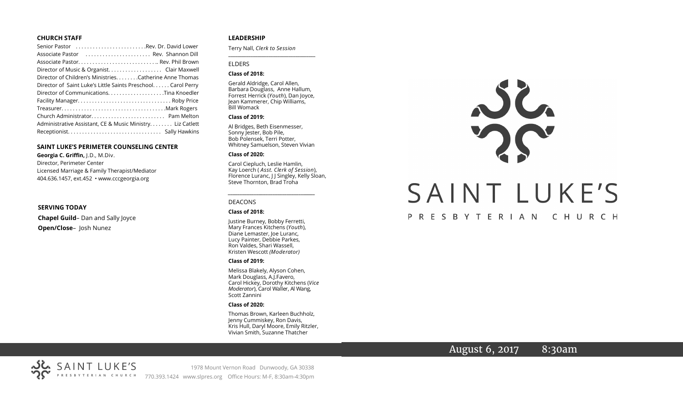#### **CHURCH STAFF**

| Senior Pastor Rev. Dr. David Lower                           |
|--------------------------------------------------------------|
| Associate Pastor  Rev. Shannon Dill                          |
| Associate Pastor Rev. Phil Brown                             |
|                                                              |
| Director of Children's Ministries. Catherine Anne Thomas     |
| Director of Saint Luke's Little Saints Preschool Carol Perry |
| Director of CommunicationsTina Knoedler                      |
|                                                              |
|                                                              |
|                                                              |
| Administrative Assistant, CE & Music Ministry Liz Catlett    |
|                                                              |

#### **SAINT LUKE'S PERIMETER COUNSELING CENTER**

**Georgia C. Griffin,** J.D., M.Div. Director, Perimeter Center Licensed Marriage & Family Therapist/Mediator 404.636.1457, ext.452 • www.cccgeorgia.org

**SERVING TODAY Chapel Guild**– Dan and Sally Joyce **Open/Close**– Josh Nunez

#### **LEADERSHIP**

Terry Nall, *Clerk to Session* 

#### ELDERS

#### **Class of 2018:**

Gerald Aldridge, Carol Allen, Barbara Douglass, Anne Hallum, Forrest Herrick (*Youth*), Dan Joyce, Jean Kammerer, Chip Williams, Bill Womack

**\_\_\_\_\_\_\_\_\_\_\_\_\_\_\_\_\_\_\_\_\_\_\_\_\_\_\_\_\_\_\_\_\_\_\_\_\_\_\_**

#### **Class of 2019:**

Al Bridges, Beth Eisenmesser, Sonny Jester, Bob Pile, Bob Polensek, Terri Potter, Whitney Samuelson, Steven Vivian

#### **Class of 2020:**

Carol Ciepluch, Leslie Hamlin, Kay Loerch ( *Asst. Clerk of Session*), Florence Luranc, J J Singley, Kelly Sloan, Steve Thornton, Brad Troha

*\_\_\_\_\_\_\_\_\_\_\_\_\_\_\_\_\_\_\_\_\_\_\_\_\_\_\_\_\_\_\_\_\_\_\_\_\_*

#### DEACONS

#### **Class of 2018:**

Justine Burney, Bobby Ferretti, Mary Frances Kitchens (*Youth*), Diane Lemaster, Joe Luranc, Lucy Painter, Debbie Parkes, Ron Valdes, Shari Wassell, Kristen Wescott *(Moderator)*

#### **Class of 2019:**

Melissa Blakely, Alyson Cohen, Mark Douglass, A.J.Favero, Carol Hickey, Dorothy Kitchens (*Vice Moderator*), Carol Waller, Al Wang, Scott Zannini

#### **Class of 2020:**

Thomas Brown, Karleen Buchholz, Jenny Cummiskey, Ron Davis, Kris Hull, Daryl Moore, Emily Ritzler, Vivian Smith, Suzanne Thatcher



# August 6, 2017 8:30am



1978 Mount Vernon Road Dunwoody, GA 30338 770.393.1424 www.slpres.org Office Hours: M-F, 8:30am-4:30pm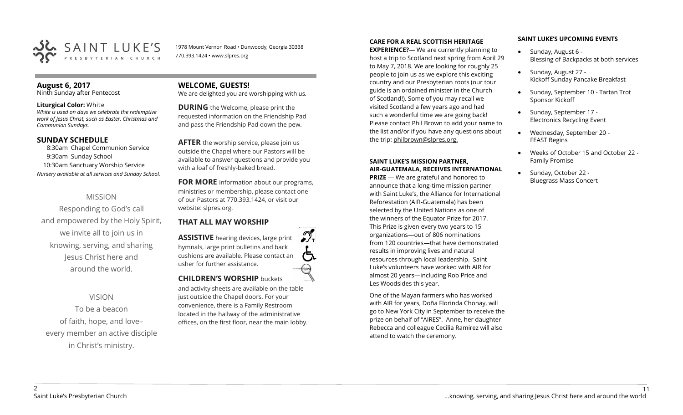

1978 Mount Vernon Road • Dunwoody, Georgia 30338 770.393.1424 • www.slpres.org

## **August 6, 2017**

Ninth Sunday after Pentecost

#### **Liturgical Color:** White

*White is used on days we celebrate the redemptive work of Jesus Christ, such as Easter, Christmas and Communion Sundays.* 

#### **SUNDAY SCHEDULE**

8:30am Chapel Communion Service 9:30am Sunday School 10:30am Sanctuary Worship Service *Nursery available at all services and Sunday School.*

# MISSION

Responding to God's call and empowered by the Holy Spirit, we invite all to join us in knowing, serving, and sharing Jesus Christ here and around the world.

# VISION

To be a beacon of faith, hope, and love– every member an active disciple in Christ's ministry.

# **WELCOME, GUESTS!**

We are delighted you are worshipping with us.

**DURING** the Welcome, please print the requested information on the Friendship Pad and pass the Friendship Pad down the pew.

**AFTER** the worship service, please join us outside the Chapel where our Pastors will be available to answer questions and provide you with a loaf of freshly-baked bread.

**FOR MORE** information about our programs, ministries or membership, please contact one of our Pastors at 770.393.1424, or visit our website: slpres.org.

### **THAT ALL MAY WORSHIP**

**ASSISTIVE** hearing devices, large print hymnals, large print bulletins and back cushions are available. Please contact an usher for further assistance. **CHILDREN'S WORSHIP** buckets

and activity sheets are available on the table just outside the Chapel doors. For your convenience, there is a Family Restroom located in the hallway of the administrative offices, on the first floor, near the main lobby.

#### **CARE FOR A REAL SCOTTISH HERITAGE**

**EXPERIENCE?**— We are currently planning to host a trip to Scotland next spring from April 29 to May 7, 2018. We are looking for roughly 25 people to join us as we explore this exciting country and our Presbyterian roots (our tour guide is an ordained minister in the Church of Scotland!). Some of you may recall we visited Scotland a few years ago and had such a wonderful time we are going back! Please contact Phil Brown to add your name to the list and/or if you have any questions about the trip: philbrown@slpres.org.

#### **SAINT LUKE'S MISSION PARTNER, AIR-GUATEMALA, RECEIVES INTERNATIONAL**

**PRIZE** — We are grateful and honored to announce that a long-time mission partner with Saint Luke's, the Alliance for International Reforestation (AIR-Guatemala) has been selected by the United Nations as one of the winners of the Equator Prize for 2017. This Prize is given every two years to 15 organizations—out of 806 nominations from 120 countries—that have demonstrated results in improving lives and natural resources through local leadership. Saint Luke's volunteers have worked with AIR for almost 20 years—including Rob Price and Les Woodsides this year.

One of the Mayan farmers who has worked with AIR for years, Doña Florinda Chonay, will go to New York City in September to receive the prize on behalf of "AIRES". Anne, her daughter Rebecca and colleague Cecilia Ramirez will also attend to watch the ceremony.

#### **SAINT LUKE'S UPCOMING EVENTS**

- Sunday, August 6 -Blessing of Backpacks at both services
- Sunday, August 27 -Kickoff Sunday Pancake Breakfast
- Sunday, September 10 Tartan Trot Sponsor Kickoff
- Sunday, September 17 -Electronics Recycling Event
- Wednesday, September 20 FEAST Begins
- Weeks of October 15 and October 22 Family Promise
- Sunday, October 22 -Bluegrass Mass Concert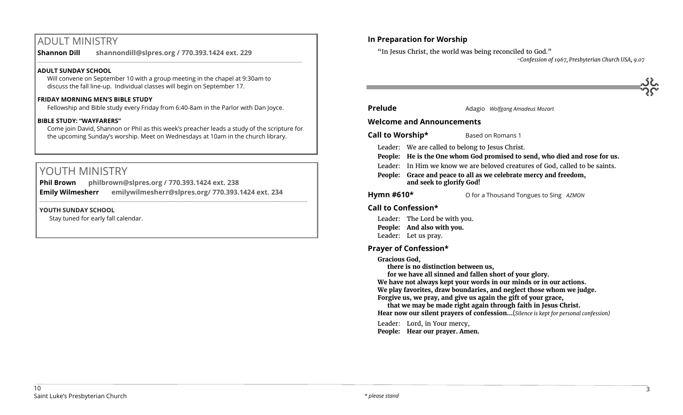# ADULT MINISTRY

**Shannon Dill shannondill@slpres.org / 770.393.1424 ext. 229**   $\_$  ,  $\_$  ,  $\_$  ,  $\_$  ,  $\_$  ,  $\_$  ,  $\_$  ,  $\_$  ,  $\_$  ,  $\_$  ,  $\_$  ,  $\_$  ,  $\_$  ,  $\_$  ,  $\_$  ,  $\_$  ,  $\_$  ,  $\_$  ,  $\_$  ,  $\_$ 

## **ADULT SUNDAY SCHOOL**

Will convene on September 10 with a group meeting in the chapel at 9:30am to discuss the fall line-up. Individual classes will begin on September 17.

#### **FRIDAY MORNING MEN'S BIBLE STUDY**

Fellowship and Bible study every Friday from 6:40-8am in the Parlor with Dan Joyce.

## **BIBLE STUDY: "WAYFARERS"**

Come join David, Shannon or Phil as this week's preacher leads a study of the scripture for the upcoming Sunday's worship. Meet on Wednesdays at 10am in the church library.

# YOUTH MINISTRY

**Phil Brown philbrown@slpres.org / 770.393.1424 ext. 238 Emily Wilmesherr emilywilmesherr@slpres.org/ 770.393.1424 ext. 234**   $\_$  ,  $\_$  ,  $\_$  ,  $\_$  ,  $\_$  ,  $\_$  ,  $\_$  ,  $\_$  ,  $\_$  ,  $\_$  ,  $\_$  ,  $\_$  ,  $\_$  ,  $\_$  ,  $\_$  ,  $\_$  ,  $\_$  ,  $\_$  ,  $\_$  ,  $\_$ 

## **YOUTH SUNDAY SCHOOL**

Stay tuned for early fall calendar.

# **In Preparation for Worship**

"In Jesus Christ, the world was being reconciled to God."

*~Confession of 1967, Presbyterian Church USA, 9.07*

**Prelude Adagio** *Wolfgang Amadeus Mozart* 

## **Welcome and Announcements**

- **Call to Worship\*** Based on Romans 1
	- Leader: We are called to belong to Jesus Christ.
	- **People: He is the One whom God promised to send, who died and rose for us.**
	- Leader: In Him we know we are beloved creatures of God, called to be saints.
	- **People: Grace and peace to all as we celebrate mercy and freedom, and seek to glorify God!**

**Hymn #610\*** O for a Thousand Tongues to Sing *AZMON*

# **Call to Confession\***

- Leader: The Lord be with you.
- **People: And also with you.**
- Leader: Let us pray.

# **Prayer of Confession\***

# **Gracious God,**

**there is no distinction between us,**

**for we have all sinned and fallen short of your glory.**

**We have not always kept your words in our minds or in our actions. We play favorites, draw boundaries, and neglect those whom we judge. Forgive us, we pray, and give us again the gift of your grace,**

**that we may be made right again through faith in Jesus Christ. Hear now our silent prayers of confession…**(*Silence is kept for personal confession)* 

Leader: Lord, in Your mercy, **People: Hear our prayer. Amen.**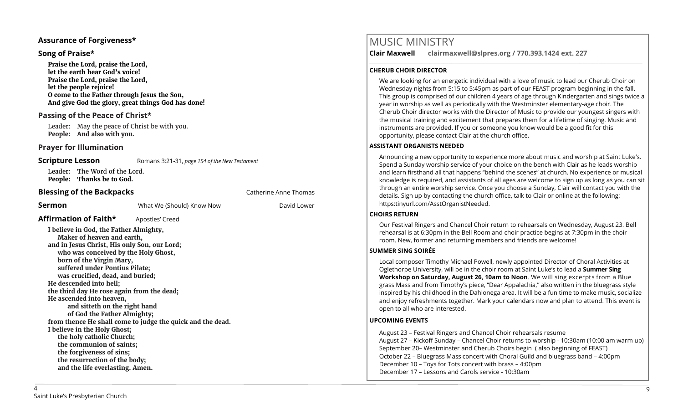### **Assurance of Forgiveness\***

## **Song of Praise\***

**Praise the Lord, praise the Lord, let the earth hear God's voice! Praise the Lord, praise the Lord, let the people rejoice! O come to the Father through Jesus the Son, And give God the glory, great things God has done!** 

# **Passing of the Peace of Christ\***

Leader: May the peace of Christ be with you. **People: And also with you.**

## **Prayer for Illumination**

**Scripture Lesson** Romans 3:21-31, *page 154 of the New Testament* 

Leader: The Word of the Lord. **People: Thanks be to God.**

**Affirmation of Faith\*** Apostles' Creed

# **Blessing of the Backpacks Catherine Anne Thomas Catherine Anne Thomas**

**Sermon Sermon** What We (Should) Know Now **David Lower** 

**I believe in God, the Father Almighty, Maker of heaven and earth, and in Jesus Christ, His only Son, our Lord; who was conceived by the Holy Ghost, born of the Virgin Mary, suffered under Pontius Pilate; was crucified, dead, and buried; He descended into hell; the third day He rose again from the dead; He ascended into heaven, and sitteth on the right hand of God the Father Almighty; from thence He shall come to judge the quick and the dead. I believe in the Holy Ghost; the holy catholic Church; the communion of saints; the forgiveness of sins; the resurrection of the body; and the life everlasting. Amen.**

**Clair Maxwell clairmaxwell@slpres.org / 770.393.1424 ext. 227**  \_\_\_\_\_\_\_\_\_\_\_\_\_\_\_\_\_\_\_\_\_\_\_\_\_\_\_\_\_\_\_\_\_\_\_\_\_\_\_\_\_\_\_\_\_\_\_\_\_\_\_\_\_\_\_\_\_\_\_\_\_\_\_\_\_\_\_\_\_\_\_\_\_\_\_\_\_\_\_\_\_\_\_\_\_\_\_\_\_\_\_\_\_\_\_\_\_\_\_\_

## **CHERUB CHOIR DIRECTOR**

We are looking for an energetic individual with a love of music to lead our Cherub Choir on Wednesday nights from 5:15 to 5:45pm as part of our FEAST program beginning in the fall. This group is comprised of our children 4 years of age through Kindergarten and sings twice a year in worship as well as periodically with the Westminster elementary-age choir. The Cherub Choir director works with the Director of Music to provide our youngest singers with the musical training and excitement that prepares them for a lifetime of singing. Music and instruments are provided. If you or someone you know would be a good fit for this opportunity, please contact Clair at the church office.

## **ASSISTANT ORGANISTS NEEDED**

Announcing a new opportunity to experience more about music and worship at Saint Luke's. Spend a Sunday worship service of your choice on the bench with Clair as he leads worship and learn firsthand all that happens "behind the scenes" at church. No experience or musical knowledge is required, and assistants of all ages are welcome to sign up as long as you can sit through an entire worship service. Once you choose a Sunday, Clair will contact you with the details. Sign up by contacting the church office, talk to Clair or online at the following: https:tinyurl.com/AsstOrganistNeeded.

### **CHOIRS RETURN**

Our Festival Ringers and Chancel Choir return to rehearsals on Wednesday, August 23. Bell rehearsal is at 6:30pm in the Bell Room and choir practice begins at 7:30pm in the choir room. New, former and returning members and friends are welcome!

### **SUMMER SING SOIRÉE**

Local composer Timothy Michael Powell, newly appointed Director of Choral Activities at Oglethorpe University, will be in the choir room at Saint Luke's to lead a **Summer Sing Workshop on Saturday, August 26, 10am to Noon**. We will sing excerpts from a Blue grass Mass and from Timothy's piece, "Dear Appalachia," also written in the bluegrass style inspired by his childhood in the Dahlonega area. It will be a fun time to make music, socialize and enjoy refreshments together. Mark your calendars now and plan to attend. This event is open to all who are interested.

### **UPCOMING EVENTS**

August 23 – Festival Ringers and Chancel Choir rehearsals resume August 27 – Kickoff Sunday – Chancel Choir returns to worship - 10:30am (10:00 am warm up) September 20– Westminster and Cherub Choirs begin ( also beginning of FEAST) October 22 – Bluegrass Mass concert with Choral Guild and bluegrass band – 4:00pm December 10 – Toys for Tots concert with brass – 4:00pm December 17 – Lessons and Carols service - 10:30am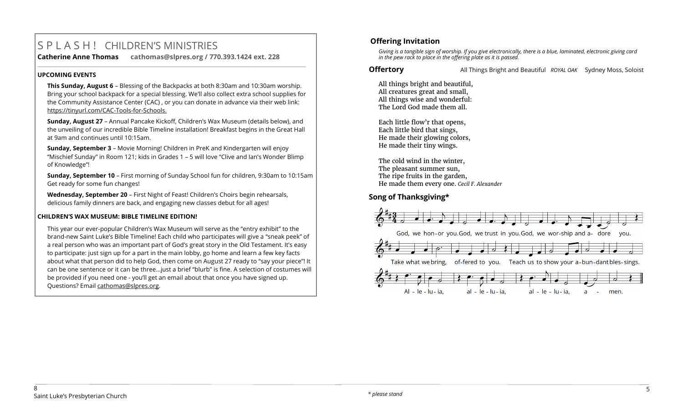# S P L A S H ! CHILDREN'S MINISTRIES **Catherine Anne Thomas cathomas@slpres.org / 770.393.1424 ext. 228**

#### **UPCOMING EVENTS**

**This Sunday, August 6** – Blessing of the Backpacks at both 8:30am and 10:30am worship. Bring your school backpack for a special blessing. We'll also collect extra school supplies for the Community Assistance Center (CAC) , or you can donate in advance via their web link: https://tinyurl.com/CAC-Tools-for-Schools.

**\_\_\_\_\_\_\_\_\_\_\_\_\_\_\_\_\_\_\_\_\_\_\_\_\_\_\_\_\_\_\_\_\_\_\_\_\_\_\_\_\_\_\_\_\_\_\_\_\_\_\_\_\_\_\_\_\_\_\_\_\_\_\_\_\_\_\_\_\_\_\_\_\_\_\_\_\_\_\_\_\_\_\_\_\_\_\_\_\_\_\_\_\_\_\_\_\_\_\_\_\_\_\_\_\_\_\_** 

**Sunday, August 27** – Annual Pancake Kickoff, Children's Wax Museum (details below), and the unveiling of our incredible Bible Timeline installation! Breakfast begins in the Great Hall at 9am and continues until 10:15am.

**Sunday, September 3** – Movie Morning! Children in PreK and Kindergarten will enjoy "Mischief Sunday" in Room 121; kids in Grades 1 – 5 will love "Clive and Ian's Wonder Blimp of Knowledge"!

**Sunday, September 10** – First morning of Sunday School fun for children, 9:30am to 10:15am Get ready for some fun changes!

**Wednesday, September 20** – First Night of Feast! Children's Choirs begin rehearsals, delicious family dinners are back, and engaging new classes debut for all ages!

### **CHILDREN'S WAX MUSEUM: BIBLE TIMELINE EDITION!**

This year our ever-popular Children's Wax Museum will serve as the "entry exhibit" to the brand-new Saint Luke's Bible Timeline! Each child who participates will give a "sneak peek" of a real person who was an important part of God's great story in the Old Testament. It's easy to participate: just sign up for a part in the main lobby, go home and learn a few key facts about what that person did to help God, then come on August 27 ready to "say your piece"! It can be one sentence or it can be three…just a brief "blurb" is fine. A selection of costumes will be provided if you need one - you'll get an email about that once you have signed up. Questions? Email [cathomas@slpres.org.](mailto:cathomas@slpres.org)

# **Offering Invitation**

*Giving is a tangible sign of worship. If you give electronically, there is a blue, laminated, electronic giving card in the pew rack to place in the offering plate as it is passed.*

**Offertory All Things Bright and Beautiful** *ROYAL OAK* Sydney Moss, Soloist

All things bright and beautiful, All creatures great and small, All things wise and wonderful: The Lord God made them all.

Each little flow'r that opens, Each little bird that sings, He made their glowing colors, He made their tiny wings.

The cold wind in the winter, The pleasant summer sun, The ripe fruits in the garden, He made them every one. *Cecil F. Alexander*

# **Song of Thanksgiving\***